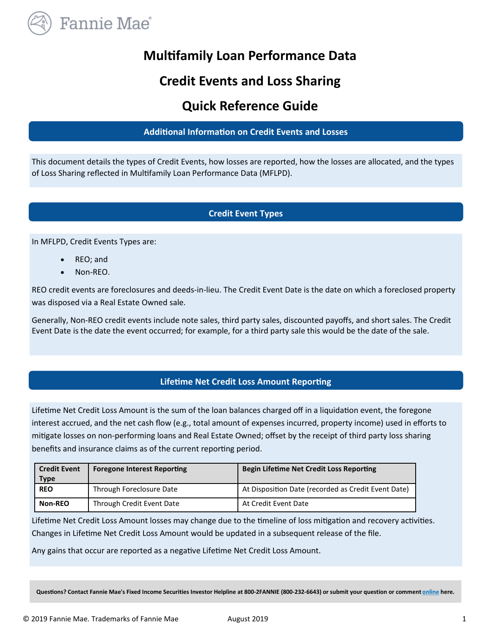

# **Multifamily Loan Performance Data**

# **Credit Events and Loss Sharing**

# **Quick Reference Guide**

## **Additional Information on Credit Events and Losses**

This document details the types of Credit Events, how losses are reported, how the losses are allocated, and the types of Loss Sharing reflected in Multifamily Loan Performance Data (MFLPD).

## **Credit Event Types**

In MFLPD, Credit Events Types are:

- REO; and
- Non-REO.

REO credit events are foreclosures and deeds-in-lieu. The Credit Event Date is the date on which a foreclosed property was disposed via a Real Estate Owned sale.

Generally, Non-REO credit events include note sales, third party sales, discounted payoffs, and short sales. The Credit Event Date is the date the event occurred; for example, for a third party sale this would be the date of the sale.

### **Lifetime Net Credit Loss Amount Reporting**

Lifetime Net Credit Loss Amount is the sum of the loan balances charged off in a liquidation event, the foregone interest accrued, and the net cash flow (e.g., total amount of expenses incurred, property income) used in efforts to mitigate losses on non-performing loans and Real Estate Owned; offset by the receipt of third party loss sharing benefits and insurance claims as of the current reporting period.

| <b>Credit Event</b> | <b>Foregone Interest Reporting</b> | <b>Begin Lifetime Net Credit Loss Reporting</b>     |
|---------------------|------------------------------------|-----------------------------------------------------|
| <b>Type</b>         |                                    |                                                     |
| <b>REO</b>          | Through Foreclosure Date           | At Disposition Date (recorded as Credit Event Date) |
| Non-REO             | Through Credit Event Date          | At Credit Event Date                                |

Lifetime Net Credit Loss Amount losses may change due to the timeline of loss mitigation and recovery activities. Changes in Lifetime Net Credit Loss Amount would be updated in a subsequent release of the file.

Any gains that occur are reported as a negative Lifetime Net Credit Loss Amount.

**Questions? Contact Fannie Mae's Fixed Income Securities Investor Helpline at 800-2FANNIE (800-232-6643) or submit your question or comment [online](http://www.fanniemae.com/portal/jsp/fixed_income_contact_us.html?id=fim) here.**